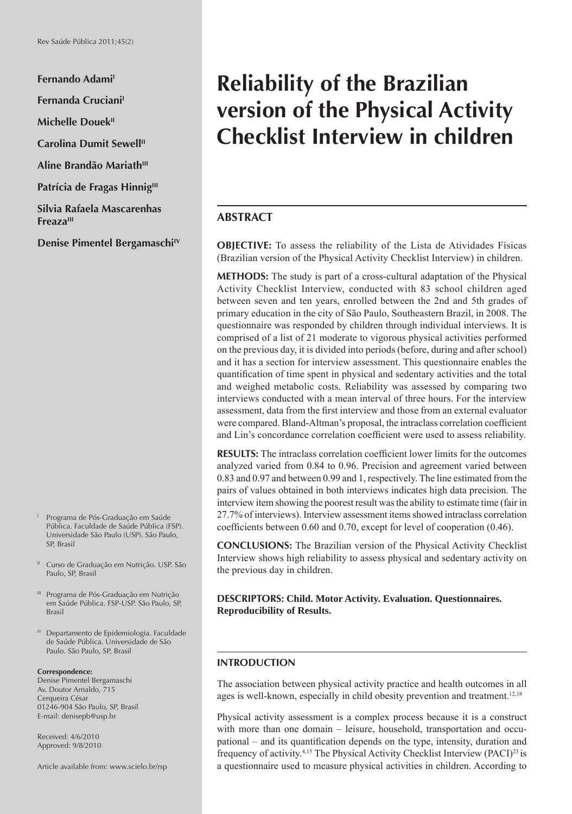Fernando Adami<sup>1</sup> Fernanda Cruciani<sup>1</sup> **Michelle Douek<sup>II</sup> Carolina Dumit Sewell<sup>II</sup> Aline Brandão Mariath<sup>III</sup>** Patrícia de Fragas Hinnig<sup>III</sup> **Silvia Rafaela Mascarenhas FreazaIII** Denise Pimentel Bergamaschi<sup>IV</sup>

- I Programa de Pós-Graduação em Saúde Pública. Faculdade de Saúde Pública (FSP). Universidade São Paulo (USP). São Paulo, SP, Brasil
- <sup>II</sup> Curso de Graduação em Nutrição. USP. São Paulo, SP, Brasil
- III Programa de Pós-Graduação em Nutrição em Saúde Pública. FSP-USP. São Paulo, SP, Brasil
- *Departamento de Epidemiologia. Faculdade* de Saúde Pública. Universidade de São Paulo. São Paulo, SP, Brasil

#### **Correspondence:**

Denise Pimentel Bergamaschi Av. Doutor Arnaldo, 715 Cerqueira César 01246-904 São Paulo, SP, Brasil E-mail: denisepb@usp.br

Received: 4/6/2010 Approved: 9/8/2010

Article available from: www.scielo.br/rsp

# **Reliability of the Brazilian version of the Physical Activity Checklist Interview in children**

## **ABSTRACT**

**OBJECTIVE:** To assess the reliability of the Lista de Atividades Físicas (Brazilian version of the Physical Activity Checklist Interview) in children.

**METHODS:** The study is part of a cross-cultural adaptation of the Physical Activity Checklist Interview, conducted with 83 school children aged between seven and ten years, enrolled between the 2nd and 5th grades of primary education in the city of São Paulo, Southeastern Brazil, in 2008. The questionnaire was responded by children through individual interviews. It is comprised of a list of 21 moderate to vigorous physical activities performed on the previous day, it is divided into periods (before, during and after school) and it has a section for interview assessment. This questionnaire enables the quantification of time spent in physical and sedentary activities and the total and weighed metabolic costs. Reliability was assessed by comparing two interviews conducted with a mean interval of three hours. For the interview assessment, data from the first interview and those from an external evaluator were compared. Bland-Altman's proposal, the intraclass correlation coefficient and Lin's concordance correlation coefficient were used to assess reliability.

**RESULTS:** The intraclass correlation coefficient lower limits for the outcomes analyzed varied from 0.84 to 0.96. Precision and agreement varied between 0.83 and 0.97 and between 0.99 and 1, respectively. The line estimated from the pairs of values obtained in both interviews indicates high data precision. The interview item showing the poorest result was the ability to estimate time (fair in 27.7% of interviews). Interview assessment items showed intraclass correlation coefficients between 0.60 and 0.70, except for level of cooperation (0.46).

**CONCLUSIONS:** The Brazilian version of the Physical Activity Checklist Interview shows high reliability to assess physical and sedentary activity on the previous day in children.

**DESCRIPTORS: Child. Motor Activity. Evaluation. Questionnaires. Reproducibility of Results.**

## **INTRODUCTION**

The association between physical activity practice and health outcomes in all ages is well-known, especially in child obesity prevention and treatment.<sup>12,18</sup>

Physical activity assessment is a complex process because it is a construct with more than one domain – leisure, household, transportation and occupational – and its quantification depends on the type, intensity, duration and frequency of activity.<sup>4,15</sup> The Physical Activity Checklist Interview (PACI)<sup>23</sup> is a questionnaire used to measure physical activities in children. According to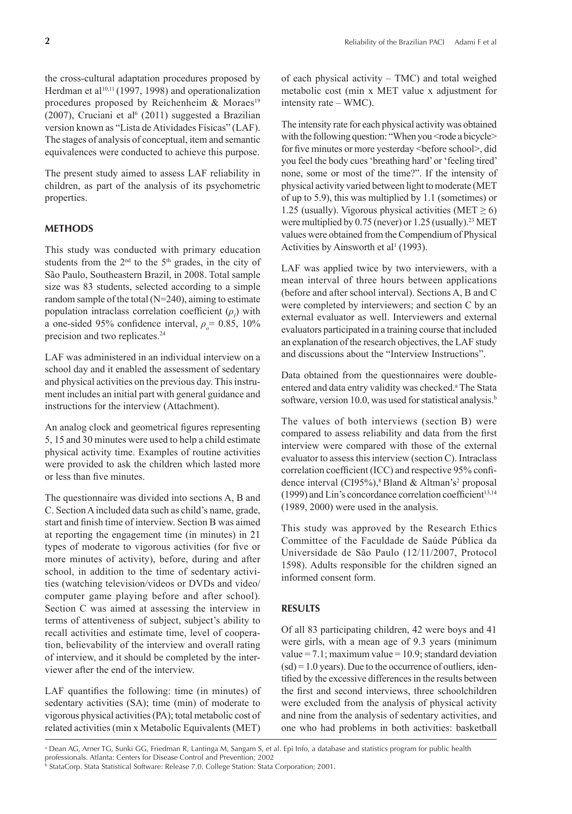the cross-cultural adaptation procedures proposed by Herdman et al<sup>10,11</sup> (1997, 1998) and operationalization procedures proposed by Reichenheim  $\&$  Moraes<sup>19</sup>  $(2007)$ , Cruciani et al<sup>6</sup>  $(2011)$  suggested a Brazilian version known as "Lista de Atividades Físicas" (LAF). The stages of analysis of conceptual, item and semantic equivalences were conducted to achieve this purpose.

The present study aimed to assess LAF reliability in children, as part of the analysis of its psychometric properties.

## **METHODS**

This study was conducted with primary education students from the  $2<sup>nd</sup>$  to the  $5<sup>th</sup>$  grades, in the city of São Paulo, Southeastern Brazil, in 2008. Total sample size was 83 students, selected according to a simple random sample of the total (N=240), aiming to estimate population intraclass correlation coefficient  $(\rho$ <sup>*I*</sup> with a one-sided 95% confidence interval,  $\rho_o = 0.85$ , 10% precision and two replicates.24

LAF was administered in an individual interview on a school day and it enabled the assessment of sedentary and physical activities on the previous day. This instrument includes an initial part with general guidance and instructions for the interview (Attachment).

An analog clock and geometrical figures representing 5, 15 and 30 minutes were used to help a child estimate physical activity time. Examples of routine activities were provided to ask the children which lasted more or less than five minutes.

The questionnaire was divided into sections A, B and C. Section A included data such as child's name, grade, start and finish time of interview. Section B was aimed at reporting the engagement time (in minutes) in 21 types of moderate to vigorous activities (for five or more minutes of activity), before, during and after school, in addition to the time of sedentary activities (watching television/videos or DVDs and video/ computer game playing before and after school). Section C was aimed at assessing the interview in terms of attentiveness of subject, subject's ability to recall activities and estimate time, level of cooperation, believability of the interview and overall rating of interview, and it should be completed by the interviewer after the end of the interview.

LAF quantifies the following: time (in minutes) of sedentary activities (SA); time (min) of moderate to vigorous physical activities (PA); total metabolic cost of related activities (min x Metabolic Equivalents (MET)

of each physical activity – TMC) and total weighed metabolic cost (min x MET value x adjustment for intensity rate – WMC).

The intensity rate for each physical activity was obtained with the following question: "When you <rode a bicycle> for five minutes or more yesterday <br/>before school>, did you feel the body cues 'breathing hard' or 'feeling tired' none, some or most of the time?". If the intensity of physical activity varied between light to moderate (MET of up to 5.9), this was multiplied by 1.1 (sometimes) or 1.25 (usually). Vigorous physical activities (MET  $\geq$  6) were multiplied by  $0.75$  (never) or  $1.25$  (usually).<sup>23</sup> MET values were obtained from the Compendium of Physical Activities by Ainsworth et al<sup>1</sup> (1993).

LAF was applied twice by two interviewers, with a mean interval of three hours between applications (before and after school interval). Sections A, B and C were completed by interviewers; and section C by an external evaluator as well. Interviewers and external evaluators participated in a training course that included an explanation of the research objectives, the LAF study and discussions about the "Interview Instructions".

Data obtained from the questionnaires were doubleentered and data entry validity was checked.<sup>a</sup> The Stata software, version 10.0, was used for statistical analysis.<sup>b</sup>

The values of both interviews (section B) were compared to assess reliability and data from the first interview were compared with those of the external evaluator to assess this interview (section C). Intraclass correlation coefficient (ICC) and respective 95% confidence interval (CI95%),<sup>8</sup> Bland & Altman's<sup>2</sup> proposal (1999) and Lin's concordance correlation coefficient $13,14$ (1989, 2000) were used in the analysis.

This study was approved by the Research Ethics Committee of the Faculdade de Saúde Pública da Universidade de São Paulo (12/11/2007, Protocol 1598). Adults responsible for the children signed an informed consent form.

#### **RESULTS**

Of all 83 participating children, 42 were boys and 41 were girls, with a mean age of 9.3 years (minimum value =  $7.1$ ; maximum value =  $10.9$ ; standard deviation  $(sd) = 1.0$  years). Due to the occurrence of outliers, identified by the excessive differences in the results between the first and second interviews, three schoolchildren were excluded from the analysis of physical activity and nine from the analysis of sedentary activities, and one who had problems in both activities: basketball

a Dean AG, Arner TG, Sunki GG, Friedman R, Lantinga M, Sangam S, et al. Epi Info, a database and statistics program for public health professionals. Atlanta: Centers for Disease Control and Prevention; 2002

b StataCorp. Stata Statistical Software: Release 7.0. College Station: Stata Corporation; 2001.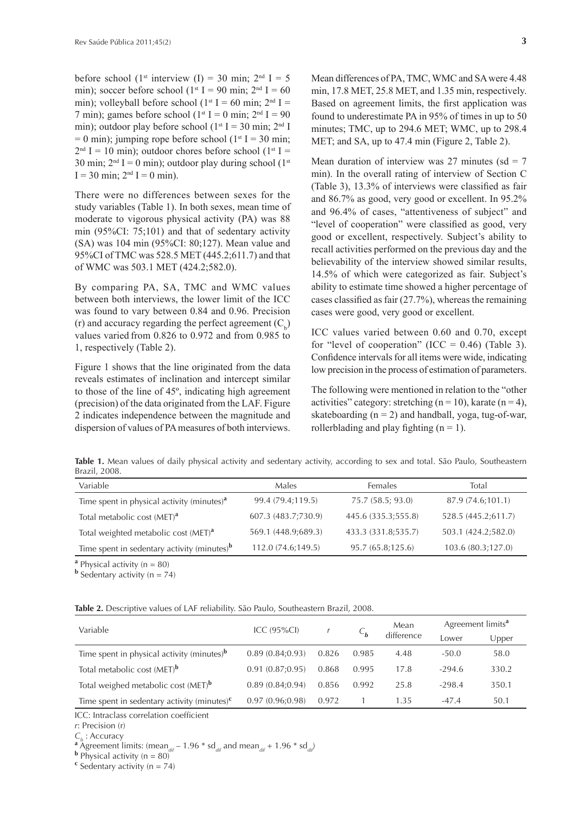before school (1<sup>st</sup> interview (I) = 30 min;  $2<sup>nd</sup> I = 5$ min); soccer before school ( $1<sup>st</sup> I = 90$  min;  $2<sup>nd</sup> I = 60$ min); volleyball before school ( $1<sup>st</sup> I = 60$  min;  $2<sup>nd</sup> I =$ 7 min); games before school ( $1<sup>st</sup> I = 0$  min;  $2<sup>nd</sup> I = 90$ min); outdoor play before school ( $1<sup>st</sup> I = 30$  min;  $2<sup>nd</sup> I$  $= 0$  min); jumping rope before school (1<sup>st</sup> I = 30 min;  $2<sup>nd</sup> I = 10 min$ ; outdoor chores before school ( $1<sup>st</sup> I =$ 30 min;  $2<sup>nd</sup> I = 0$  min); outdoor play during school  $(1<sup>st</sup>$  $I = 30$  min;  $2<sup>nd</sup> I = 0$  min).

There were no differences between sexes for the study variables (Table 1). In both sexes, mean time of moderate to vigorous physical activity (PA) was 88 min (95%CI: 75;101) and that of sedentary activity (SA) was 104 min (95%CI: 80;127). Mean value and 95%CI of TMC was 528.5 MET (445.2;611.7) and that of WMC was 503.1 MET (424.2;582.0).

By comparing PA, SA, TMC and WMC values between both interviews, the lower limit of the ICC was found to vary between 0.84 and 0.96. Precision (r) and accuracy regarding the perfect agreement  $(C_b)$ values varied from 0.826 to 0.972 and from 0.985 to 1, respectively (Table 2).

Figure 1 shows that the line originated from the data reveals estimates of inclination and intercept similar to those of the line of 45º, indicating high agreement (precision) of the data originated from the LAF. Figure 2 indicates independence between the magnitude and dispersion of values of PA measures of both interviews.

Mean differences of PA, TMC, WMC and SA were 4.48 min, 17.8 MET, 25.8 MET, and 1.35 min, respectively. Based on agreement limits, the first application was found to underestimate PA in 95% of times in up to 50 minutes; TMC, up to 294.6 MET; WMC, up to 298.4 MET; and SA, up to 47.4 min (Figure 2, Table 2).

Mean duration of interview was 27 minutes ( $sd = 7$ ) min). In the overall rating of interview of Section C (Table 3),  $13.3\%$  of interviews were classified as fair and 86.7% as good, very good or excellent. In 95.2% and 96.4% of cases, "attentiveness of subject" and "level of cooperation" were classified as good, very good or excellent, respectively. Subject's ability to recall activities performed on the previous day and the believability of the interview showed similar results, 14.5% of which were categorized as fair. Subject's ability to estimate time showed a higher percentage of cases classified as fair  $(27.7%)$ , whereas the remaining cases were good, very good or excellent.

ICC values varied between 0.60 and 0.70, except for "level of cooperation" (ICC =  $0.46$ ) (Table 3). Confidence intervals for all items were wide, indicating low precision in the process of estimation of parameters.

The following were mentioned in relation to the "other activities" category: stretching ( $n = 10$ ), karate ( $n = 4$ ), skateboarding  $(n = 2)$  and handball, yoga, tug-of-war, rollerblading and play fighting  $(n = 1)$ .

Table 1. Mean values of daily physical activity and sedentary activity, according to sex and total. São Paulo, Southeastern Brazil, 2008.

| Variable                                                | Males               | <b>Females</b>      | Total               |
|---------------------------------------------------------|---------------------|---------------------|---------------------|
| Time spent in physical activity (minutes) $a$           | 99.4 (79.4;119.5)   | 75.7 (58.5; 93.0)   | 87.9 (74.6;101.1)   |
| Total metabolic cost (MET) <sup>a</sup>                 | 607.3 (483.7;730.9) | 445.6 (335.3;555.8) | 528.5 (445.2;611.7) |
| Total weighted metabolic cost $(MET)^a$                 | 569.1 (448.9;689.3) | 433.3 (331.8;535.7) | 503.1 (424.2;582.0) |
| Time spent in sedentary activity (minutes) $\mathbf{b}$ | 112.0 (74.6;149.5)  | 95.7 (65.8;125.6)   | 103.6 (80.3;127.0)  |

<sup>a</sup> Physical activity ( $n = 80$ )

**b** Sedentary activity (n = 74)

| <b>Table 2.</b> Descriptive values of LAF reliability. São Paulo, Southeastern Brazil, 2008. |
|----------------------------------------------------------------------------------------------|
|----------------------------------------------------------------------------------------------|

| Variable                                        | $ICC (95\% CI)$ |       |       | Mean       | Agreement limits <sup>a</sup> |       |  |
|-------------------------------------------------|-----------------|-------|-------|------------|-------------------------------|-------|--|
|                                                 |                 |       |       | difference | Lower                         | Upper |  |
| Time spent in physical activity (minutes) $b$   | 0.89(0.84:0.93) | 0.826 | 0.985 | 4.48       | $-50.0$                       | 58.0  |  |
| Total metabolic cost (MET) <sup>b</sup>         | 0.91(0.87:0.95) | 0.868 | 0.995 | 17.8       | $-294.6$                      | 330.2 |  |
| Total weighed metabolic cost (MET) <sup>b</sup> | 0.89(0.84:0.94) | 0.856 | 0.992 | 25.8       | $-298.4$                      | 350.1 |  |
| Time spent in sedentary activity (minutes) $c$  | 0.97(0.96:0.98) | 0.972 |       | 1.35       | $-47.4$                       | 50.1  |  |

ICC: Intraclass correlation coefficient

*r*: Precision (r)

 $C<sub>b</sub>$  : Accuracy

 $\frac{a}{\text{A}}$  Agreement limits: (mean<sub>dif</sub> – 1.96  $*$  sd<sub>dif</sub> and mean<sub>dif</sub> + 1.96  $*$  sd<sub>dif</sub>)

 $<sup>b</sup>$  Physical activity (n = 80)</sup>

 $c$  Sedentary activity ( $n = 74$ )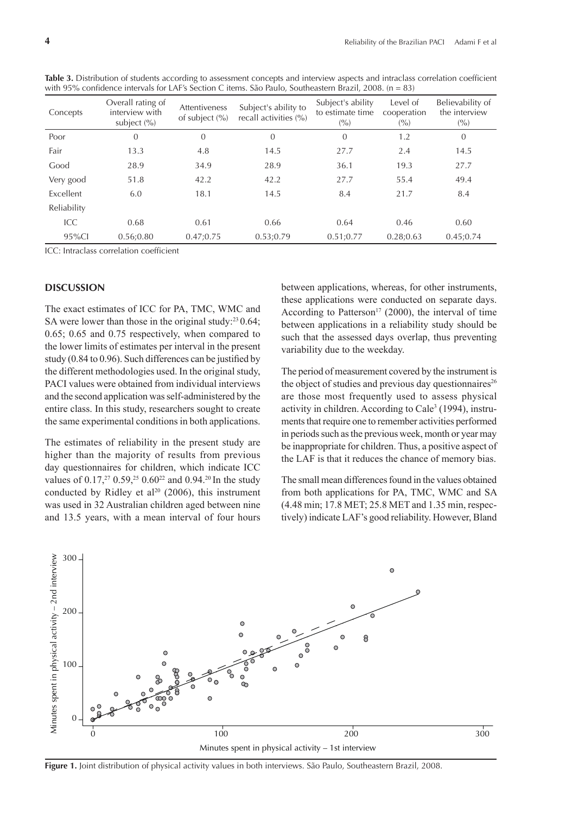| Concepts    | Overall rating of<br>interview with<br>subject $(\%)$ | Attentiveness<br>of subject $(\% )$ | Subject's ability to<br>recall activities (%) | Subject's ability<br>to estimate time<br>(° <sub>0</sub> ) | Level of<br>cooperation<br>(9/0) | Believability of<br>the interview<br>(9/0) |
|-------------|-------------------------------------------------------|-------------------------------------|-----------------------------------------------|------------------------------------------------------------|----------------------------------|--------------------------------------------|
| Poor        | 0                                                     | $\overline{0}$                      | $\theta$                                      | 0                                                          | 1.2                              | $\theta$                                   |
| Fair        | 13.3                                                  | 4.8                                 | 14.5                                          | 27.7                                                       | 2.4                              | 14.5                                       |
| Good        | 28.9                                                  | 34.9                                | 28.9                                          | 36.1                                                       | 19.3                             | 27.7                                       |
| Very good   | 51.8                                                  | 42.2                                | 42.2                                          | 27.7                                                       | 55.4                             | 49.4                                       |
| Excellent   | 6.0                                                   | 18.1                                | 14.5                                          | 8.4                                                        | 21.7                             | 8.4                                        |
| Reliability |                                                       |                                     |                                               |                                                            |                                  |                                            |
| ICC         | 0.68                                                  | 0.61                                | 0.66                                          | 0.64                                                       | 0.46                             | 0.60                                       |
|             |                                                       |                                     |                                               |                                                            |                                  |                                            |

95%CI 0.56;0.80 0.47;0.75 0.53;0.79 0.51;0.77 0.28;0.63 0.45;0.74

Table 3. Distribution of students according to assessment concepts and interview aspects and intraclass correlation coefficient with 95% confidence intervals for LAF's Section C items. São Paulo, Southeastern Brazil, 2008. (n = 83)

ICC: Intraclass correlation coefficient

## **DISCUSSION**

The exact estimates of ICC for PA, TMC, WMC and SA were lower than those in the original study:<sup>23</sup> 0.64; 0.65; 0.65 and 0.75 respectively, when compared to the lower limits of estimates per interval in the present study  $(0.84 \text{ to } 0.96)$ . Such differences can be justified by the different methodologies used. In the original study, PACI values were obtained from individual interviews and the second application was self-administered by the entire class. In this study, researchers sought to create the same experimental conditions in both applications.

The estimates of reliability in the present study are higher than the majority of results from previous day questionnaires for children, which indicate ICC values of  $0.17^{27}$   $0.59^{25}$   $0.60^{22}$  and  $0.94^{20}$  In the study conducted by Ridley et al<sup>20</sup> (2006), this instrument was used in 32 Australian children aged between nine and 13.5 years, with a mean interval of four hours

between applications, whereas, for other instruments, these applications were conducted on separate days. According to Patterson<sup>17</sup> (2000), the interval of time between applications in a reliability study should be such that the assessed days overlap, thus preventing variability due to the weekday.

The period of measurement covered by the instrument is the object of studies and previous day questionnaires<sup>26</sup> are those most frequently used to assess physical activity in children. According to Cale<sup>3</sup> (1994), instruments that require one to remember activities performed in periods such as the previous week, month or year may be inappropriate for children. Thus, a positive aspect of the LAF is that it reduces the chance of memory bias.

The small mean differences found in the values obtained from both applications for PA, TMC, WMC and SA (4.48 min; 17.8 MET; 25.8 MET and 1.35 min, respectively) indicate LAF's good reliability. However, Bland

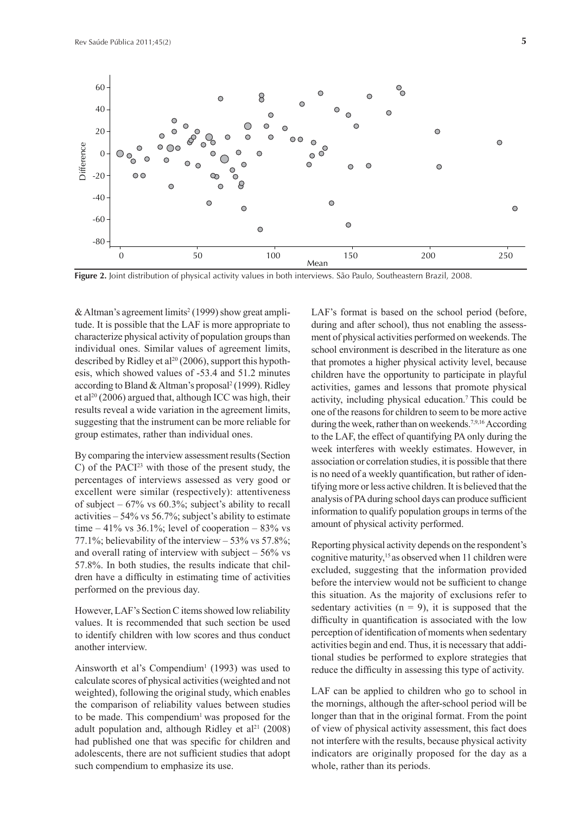

**Figure 2.** Joint distribution of physical activity values in both interviews. São Paulo, Southeastern Brazil, 2008.

& Altman's agreement limits<sup>2</sup> (1999) show great amplitude. It is possible that the LAF is more appropriate to characterize physical activity of population groups than individual ones. Similar values of agreement limits, described by Ridley et al<sup>20</sup> (2006), support this hypothesis, which showed values of -53.4 and 51.2 minutes according to Bland & Altman's proposal<sup>2</sup> (1999). Ridley et al<sup>20</sup> (2006) argued that, although ICC was high, their results reveal a wide variation in the agreement limits, suggesting that the instrument can be more reliable for group estimates, rather than individual ones.

By comparing the interview assessment results (Section  $C$ ) of the PACI<sup>23</sup> with those of the present study, the percentages of interviews assessed as very good or excellent were similar (respectively): attentiveness of subject –  $67\%$  vs  $60.3\%$ ; subject's ability to recall activities – 54% vs 56.7%; subject's ability to estimate time  $-41\%$  vs 36.1%; level of cooperation  $-83\%$  vs 77.1%; believability of the interview  $-53\%$  vs 57.8%; and overall rating of interview with subject  $-56\%$  vs 57.8%. In both studies, the results indicate that children have a difficulty in estimating time of activities performed on the previous day.

However, LAF's Section C items showed low reliability values. It is recommended that such section be used to identify children with low scores and thus conduct another interview.

Ainsworth et al's Compendium<sup>1</sup> (1993) was used to calculate scores of physical activities (weighted and not weighted), following the original study, which enables the comparison of reliability values between studies to be made. This compendium<sup>1</sup> was proposed for the adult population and, although Ridley et al<sup>21</sup> (2008) had published one that was specific for children and adolescents, there are not sufficient studies that adopt such compendium to emphasize its use.

LAF's format is based on the school period (before, during and after school), thus not enabling the assessment of physical activities performed on weekends. The school environment is described in the literature as one that promotes a higher physical activity level, because children have the opportunity to participate in playful activities, games and lessons that promote physical activity, including physical education.7 This could be one of the reasons for children to seem to be more active during the week, rather than on weekends.<sup>7,9,16</sup> According to the LAF, the effect of quantifying PA only during the week interferes with weekly estimates. However, in association or correlation studies, it is possible that there is no need of a weekly quantification, but rather of identifying more or less active children. It is believed that the analysis of PA during school days can produce sufficient information to qualify population groups in terms of the amount of physical activity performed.

Reporting physical activity depends on the respondent's cognitive maturity,15 as observed when 11 children were excluded, suggesting that the information provided before the interview would not be sufficient to change this situation. As the majority of exclusions refer to sedentary activities  $(n = 9)$ , it is supposed that the difficulty in quantification is associated with the low perception of identification of moments when sedentary activities begin and end. Thus, it is necessary that additional studies be performed to explore strategies that reduce the difficulty in assessing this type of activity.

LAF can be applied to children who go to school in the mornings, although the after-school period will be longer than that in the original format. From the point of view of physical activity assessment, this fact does not interfere with the results, because physical activity indicators are originally proposed for the day as a whole, rather than its periods.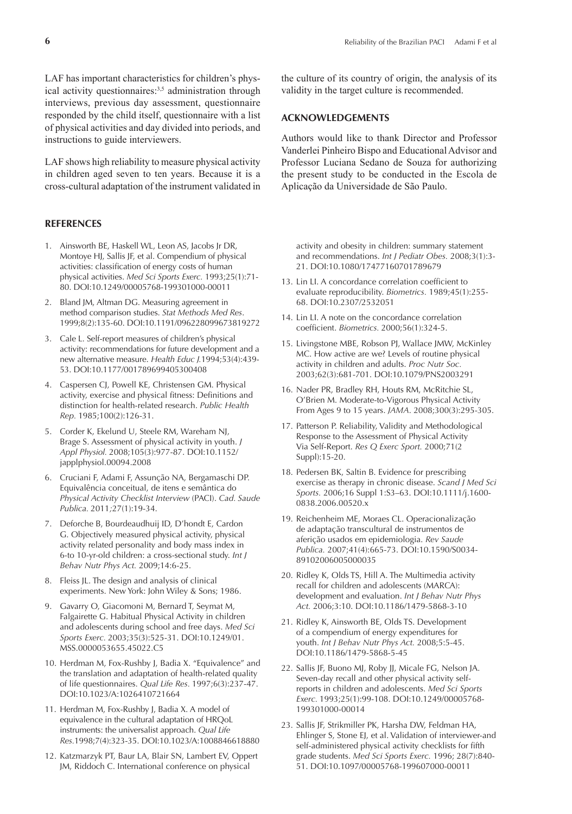LAF has important characteristics for children's physical activity questionnaires:<sup>3,5</sup> administration through interviews, previous day assessment, questionnaire responded by the child itself, questionnaire with a list of physical activities and day divided into periods, and instructions to guide interviewers.

LAF shows high reliability to measure physical activity in children aged seven to ten years. Because it is a cross-cultural adaptation of the instrument validated in

## **REFERENCES**

- 1. Ainsworth BE, Haskell WL, Leon AS, Jacobs Jr DR, Montoye HJ, Sallis JF, et al. Compendium of physical activities: classification of energy costs of human physical activities. *Med Sci Sports Exerc.* 1993;25(1):71- 80. DOI:10.1249/00005768-199301000-00011
- 2. Bland JM, Altman DG. Measuring agreement in method comparison studies. *Stat Methods Med Res*. 1999;8(2):135-60. DOI:10.1191/096228099673819272
- 3. Cale L. Self-report measures of children's physical activity: recommendations for future development and a new alternative measure. *Health Educ J.*1994;53(4):439- 53. DOI:10.1177/001789699405300408
- 4. Caspersen CJ, Powell KE, Christensen GM. Physical activity, exercise and physical fitness: Definitions and distinction for health-related research. *Public Health Rep.* 1985;100(2):126-31.
- 5. Corder K, Ekelund U, Steele RM, Wareham NJ, Brage S. Assessment of physical activity in youth. *J Appl Physiol.* 2008;105(3):977-87. DOI:10.1152/ japplphysiol.00094.2008
- 6. Cruciani F, Adami F, Assunção NA, Bergamaschi DP. Equivalência conceitual, de itens e semântica do *Physical Activity Checklist Interview* (PACI). *Cad. Saude Publica.* 2011*;*27(1):19-34.
- 7. Deforche B, Bourdeaudhuij ID, D'hondt E, Cardon G. Objectively measured physical activity, physical activity related personality and body mass index in 6-to 10-yr-old children: a cross-sectional study. *Int J Behav Nutr Phys Act.* 2009;14:6-25.
- 8. Fleiss JL. The design and analysis of clinical experiments. New York: John Wiley & Sons; 1986.
- 9. Gavarry O, Giacomoni M, Bernard T, Seymat M, Falgairette G. Habitual Physical Activity in children and adolescents during school and free days. *Med Sci Sports Exerc.* 2003;35(3):525-31. DOI:10.1249/01. MSS.0000053655.45022.C5
- 10. Herdman M, Fox-Rushby J, Badia X. "Equivalence" and the translation and adaptation of health-related quality of life questionnaires. *Qual Life Res.* 1997;6(3):237-47. DOI:10.1023/A:1026410721664
- 11. Herdman M, Fox-Rushby J, Badia X. A model of equivalence in the cultural adaptation of HRQoL instruments: the universalist approach. *Qual Life Res.*1998;7(4):323-35. DOI:10.1023/A:1008846618880
- 12. Katzmarzyk PT, Baur LA, Blair SN, Lambert EV, Oppert JM, Riddoch C. International conference on physical

the culture of its country of origin, the analysis of its validity in the target culture is recommended.

#### **ACKNOWLEDGEMENTS**

Authors would like to thank Director and Professor Vanderlei Pinheiro Bispo and Educational Advisor and Professor Luciana Sedano de Souza for authorizing the present study to be conducted in the Escola de Aplicação da Universidade de São Paulo.

activity and obesity in children: summary statement and recommendations. *Int J Pediatr Obes.* 2008;3(1):3- 21. DOI:10.1080/17477160701789679

- 13. Lin Ll. A concordance correlation coefficient to evaluate reproducibility. *Biometrics.* 1989;45(1):255- 68. DOI:10.2307/2532051
- 14. Lin LI. A note on the concordance correlation coeffi cient. *Biometrics.* 2000;56(1):324-5.
- 15. Livingstone MBE, Robson PJ, Wallace JMW, McKinley MC. How active are we? Levels of routine physical activity in children and adults. *Proc Nutr Soc.* 2003;62(3):681-701. DOI:10.1079/PNS2003291
- 16. Nader PR, Bradley RH, Houts RM, McRitchie SL, O'Brien M. Moderate-to-Vigorous Physical Activity From Ages 9 to 15 years. *JAMA*. 2008;300(3):295-305.
- 17. Patterson P. Reliability, Validity and Methodological Response to the Assessment of Physical Activity Via Self-Report. *Res Q Exerc Sport.* 2000;71(2 Suppl):15-20.
- 18. Pedersen BK, Saltin B. Evidence for prescribing exercise as therapy in chronic disease. *Scand J Med Sci Sports.* 2006;16 Suppl 1:S3–63. DOI:10.1111/j.1600- 0838.2006.00520.x
- 19. Reichenheim ME, Moraes CL. Operacionalização de adaptação transcultural de instrumentos de aferição usados em epidemiologia. *Rev Saude Publica.* 2007;41(4):665-73. DOI:10.1590/S0034- 89102006005000035
- 20. Ridley K, Olds TS, Hill A. The Multimedia activity recall for children and adolescents (MARCA): development and evaluation. *Int J Behav Nutr Phys Act.* 2006;3:10. DOI:10.1186/1479-5868-3-10
- 21. Ridley K, Ainsworth BE, Olds TS. Development of a compendium of energy expenditures for youth. *Int J Behav Nutr Phys Act.* 2008;5:5-45. DOI:10.1186/1479-5868-5-45
- 22. Sallis JF, Buono MJ, Roby JJ, Micale FG, Nelson JA. Seven-day recall and other physical activity selfreports in children and adolescents. *Med Sci Sports Exerc.* 1993;25(1):99-108. DOI:10.1249/00005768- 199301000-00014
- 23. Sallis JF, Strikmiller PK, Harsha DW, Feldman HA, Ehlinger S, Stone EJ, et al. Validation of interviewer-and self-administered physical activity checklists for fifth grade students. *Med Sci Sports Exerc.* 1996; 28(7):840- 51. DOI:10.1097/00005768-199607000-00011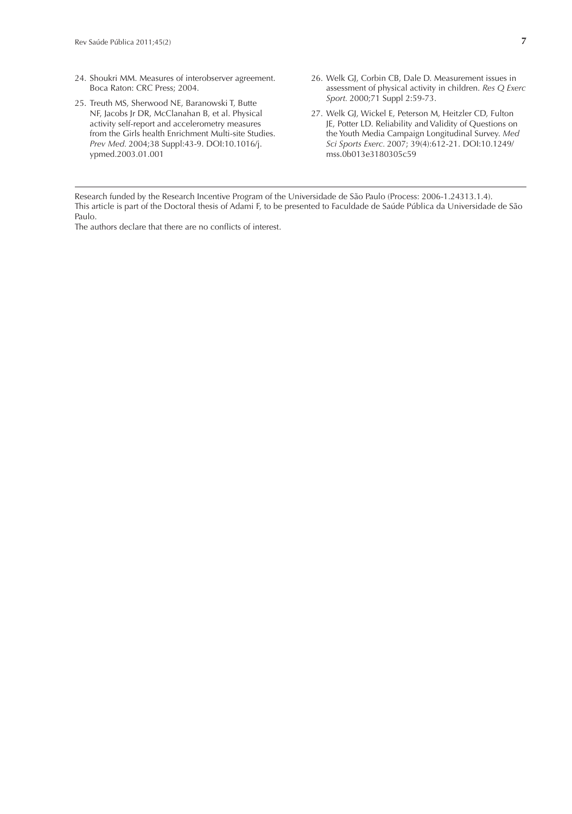- 24. Shoukri MM. Measures of interobserver agreement. Boca Raton: CRC Press; 2004.
- 25. Treuth MS, Sherwood NE, Baranowski T, Butte NF, Jacobs Jr DR, McClanahan B, et al. Physical activity self-report and accelerometry measures from the Girls health Enrichment Multi-site Studies. *Prev Med.* 2004;38 Suppl:43-9. DOI:10.1016/j. ypmed.2003.01.001
- 26. Welk GJ, Corbin CB, Dale D. Measurement issues in assessment of physical activity in children. *Res Q Exerc Sport.* 2000;71 Suppl 2:59-73.
- 27. Welk GJ, Wickel E, Peterson M, Heitzler CD, Fulton JE, Potter LD. Reliability and Validity of Questions on the Youth Media Campaign Longitudinal Survey. *Med Sci Sports Exerc.* 2007; 39(4):612-21. DOI:10.1249/ mss.0b013e3180305c59

Research funded by the Research Incentive Program of the Universidade de São Paulo (Process: 2006-1.24313.1.4). This article is part of the Doctoral thesis of Adami F, to be presented to Faculdade de Saúde Pública da Universidade de São Paulo.

The authors declare that there are no conflicts of interest.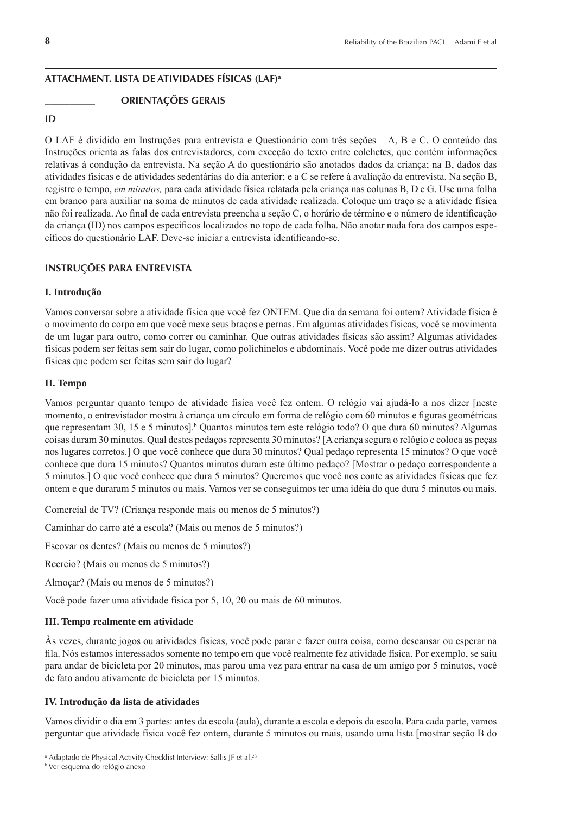## **ATTACHMENT. LISTA DE ATIVIDADES FÍSICAS (LAF)a**

#### **ID**

**\_\_\_\_\_\_\_\_\_\_ ORIENTAÇÕES GERAIS**

O LAF é dividido em Instruções para entrevista e Questionário com três seções – A, B e C. O conteúdo das Instruções orienta as falas dos entrevistadores, com exceção do texto entre colchetes, que contém informações relativas à condução da entrevista. Na seção A do questionário são anotados dados da criança; na B, dados das atividades físicas e de atividades sedentárias do dia anterior; e a C se refere à avaliação da entrevista. Na seção B, registre o tempo, *em minutos,* para cada atividade física relatada pela criança nas colunas B, D e G. Use uma folha em branco para auxiliar na soma de minutos de cada atividade realizada. Coloque um traço se a atividade física não foi realizada. Ao final de cada entrevista preencha a seção C, o horário de término e o número de identificação da criança (ID) nos campos específicos localizados no topo de cada folha. Não anotar nada fora dos campos específicos do questionário LAF. Deve-se iniciar a entrevista identificando-se.

## **INSTRUÇÕES PARA ENTREVISTA**

#### **I. Introdução**

Vamos conversar sobre a atividade física que você fez ONTEM. Que dia da semana foi ontem? Atividade física é o movimento do corpo em que você mexe seus braços e pernas. Em algumas atividades físicas, você se movimenta de um lugar para outro, como correr ou caminhar. Que outras atividades físicas são assim? Algumas atividades físicas podem ser feitas sem sair do lugar, como polichinelos e abdominais. Você pode me dizer outras atividades físicas que podem ser feitas sem sair do lugar?

#### **II. Tempo**

Vamos perguntar quanto tempo de atividade física você fez ontem. O relógio vai ajudá-lo a nos dizer [neste momento, o entrevistador mostra à criança um círculo em forma de relógio com 60 minutos e figuras geométricas que representam 30, 15 e 5 minutos].<sup>b</sup> Quantos minutos tem este relógio todo? O que dura 60 minutos? Algumas coisas duram 30 minutos. Qual destes pedaços representa 30 minutos? [A criança segura o relógio e coloca as peças nos lugares corretos.] O que você conhece que dura 30 minutos? Qual pedaço representa 15 minutos? O que você conhece que dura 15 minutos? Quantos minutos duram este último pedaço? [Mostrar o pedaço correspondente a 5 minutos.] O que você conhece que dura 5 minutos? Queremos que você nos conte as atividades físicas que fez ontem e que duraram 5 minutos ou mais. Vamos ver se conseguimos ter uma idéia do que dura 5 minutos ou mais.

Comercial de TV? (Criança responde mais ou menos de 5 minutos?)

Caminhar do carro até a escola? (Mais ou menos de 5 minutos?)

Escovar os dentes? (Mais ou menos de 5 minutos?)

Recreio? (Mais ou menos de 5 minutos?)

Almoçar? (Mais ou menos de 5 minutos?)

Você pode fazer uma atividade física por 5, 10, 20 ou mais de 60 minutos.

#### **III. Tempo realmente em atividade**

Às vezes, durante jogos ou atividades físicas, você pode parar e fazer outra coisa, como descansar ou esperar na fila. Nós estamos interessados somente no tempo em que você realmente fez atividade física. Por exemplo, se saiu para andar de bicicleta por 20 minutos, mas parou uma vez para entrar na casa de um amigo por 5 minutos, você de fato andou ativamente de bicicleta por 15 minutos.

#### **IV. Introdução da lista de atividades**

Vamos dividir o dia em 3 partes: antes da escola (aula), durante a escola e depois da escola. Para cada parte, vamos perguntar que atividade física você fez ontem, durante 5 minutos ou mais, usando uma lista [mostrar seção B do

<sup>&</sup>lt;sup>a</sup> Adaptado de Physical Activity Checklist Interview: Sallis JF et al.<sup>23</sup>

b Ver esquema do relógio anexo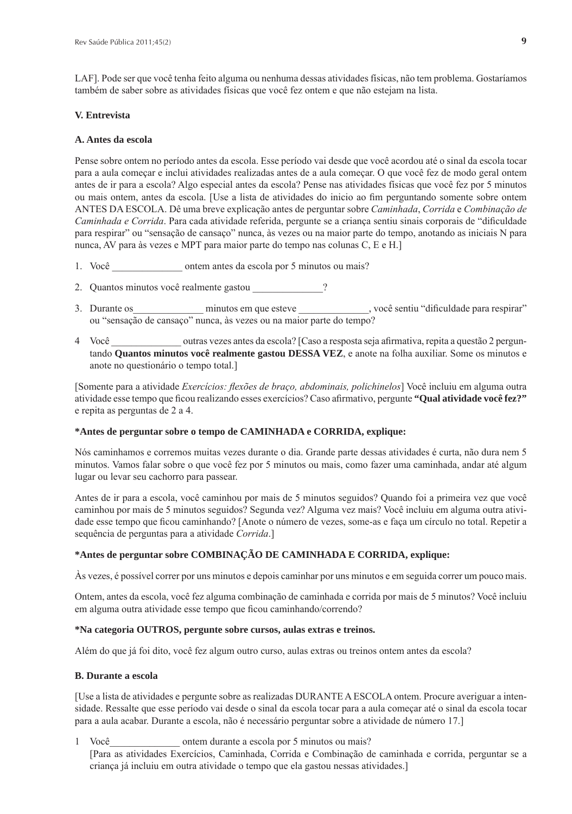LAF]. Pode ser que você tenha feito alguma ou nenhuma dessas atividades físicas, não tem problema. Gostaríamos também de saber sobre as atividades físicas que você fez ontem e que não estejam na lista.

## **V. Entrevista**

## **A. Antes da escola**

Pense sobre ontem no período antes da escola. Esse período vai desde que você acordou até o sinal da escola tocar para a aula começar e inclui atividades realizadas antes de a aula começar. O que você fez de modo geral ontem antes de ir para a escola? Algo especial antes da escola? Pense nas atividades físicas que você fez por 5 minutos ou mais ontem, antes da escola. [Use a lista de atividades do inicio ao fim perguntando somente sobre ontem ANTES DA ESCOLA. Dê uma breve explicação antes de perguntar sobre *Caminhada*, *Corrida* e *Combinação de Caminhada e Corrida*. Para cada atividade referida, pergunte se a criança sentiu sinais corporais de "dificuldade para respirar" ou "sensação de cansaço" nunca, às vezes ou na maior parte do tempo, anotando as iniciais N para nunca, AV para às vezes e MPT para maior parte do tempo nas colunas C, E e H.]

- 1. Você ontem antes da escola por 5 minutos ou mais?
- 2. Quantos minutos você realmente gastou \_\_\_\_\_\_\_\_\_\_\_\_\_\_?
- 3. Durante os\_\_\_\_\_\_\_\_\_\_\_\_\_\_\_ minutos em que esteve \_\_\_\_\_\_\_\_\_\_\_\_, você sentiu "dificuldade para respirar" ou "sensação de cansaço" nunca, às vezes ou na maior parte do tempo?
- 4 Você outras vezes antes da escola? [Caso a resposta seja afirmativa, repita a questão 2 perguntando **Quantos minutos você realmente gastou DESSA VEZ**, e anote na folha auxiliar. Some os minutos e anote no questionário o tempo total.]

[Somente para a atividade *Exercícios: flexões de braço, abdominais, polichinelos*] Você incluiu em alguma outra atividade esse tempo que fi cou realizando esses exercícios? Caso afi rmativo, pergunte **"Qual atividade você fez?"** e repita as perguntas de 2 a 4.

## **\*Antes de perguntar sobre o tempo de CAMINHADA e CORRIDA, explique:**

Nós caminhamos e corremos muitas vezes durante o dia. Grande parte dessas atividades é curta, não dura nem 5 minutos. Vamos falar sobre o que você fez por 5 minutos ou mais, como fazer uma caminhada, andar até algum lugar ou levar seu cachorro para passear.

Antes de ir para a escola, você caminhou por mais de 5 minutos seguidos? Quando foi a primeira vez que você caminhou por mais de 5 minutos seguidos? Segunda vez? Alguma vez mais? Você incluiu em alguma outra atividade esse tempo que ficou caminhando? [Anote o número de vezes, some-as e faça um círculo no total. Repetir a sequência de perguntas para a atividade *Corrida*.]

## **\*Antes de perguntar sobre COMBINAÇÃO DE CAMINHADA E CORRIDA, explique:**

Às vezes, é possível correr por uns minutos e depois caminhar por uns minutos e em seguida correr um pouco mais.

Ontem, antes da escola, você fez alguma combinação de caminhada e corrida por mais de 5 minutos? Você incluiu em alguma outra atividade esse tempo que ficou caminhando/correndo?

## **\*Na categoria OUTROS, pergunte sobre cursos, aulas extras e treinos.**

Além do que já foi dito, você fez algum outro curso, aulas extras ou treinos ontem antes da escola?

## **B. Durante a escola**

[Use a lista de atividades e pergunte sobre as realizadas DURANTE A ESCOLA ontem. Procure averiguar a intensidade. Ressalte que esse período vai desde o sinal da escola tocar para a aula começar até o sinal da escola tocar para a aula acabar. Durante a escola, não é necessário perguntar sobre a atividade de número 17.]

1 Você ontem durante a escola por 5 minutos ou mais?

 [Para as atividades Exercícios, Caminhada, Corrida e Combinação de caminhada e corrida, perguntar se a criança já incluiu em outra atividade o tempo que ela gastou nessas atividades.]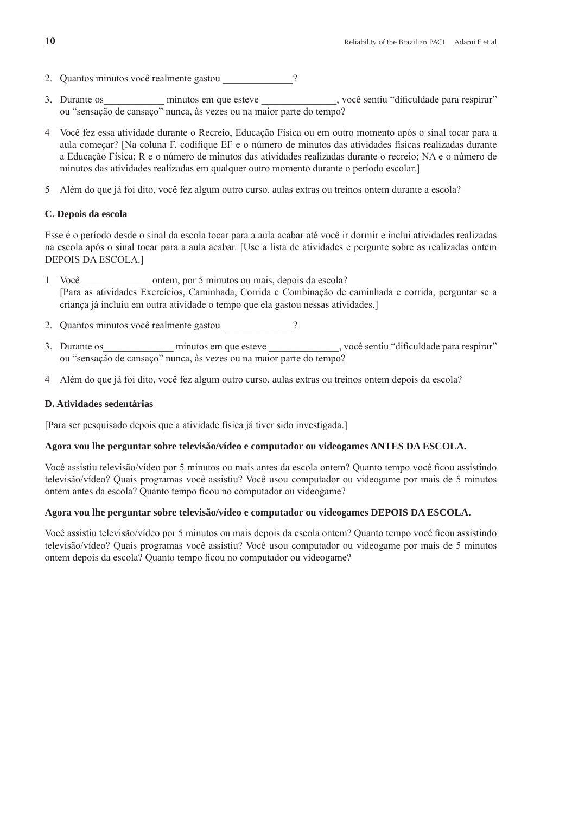- 2. Quantos minutos você realmente gastou \_\_\_\_\_\_\_\_\_\_\_\_\_\_?
- 3. Durante os\_\_\_\_\_\_\_\_\_\_\_\_ minutos em que esteve \_\_\_\_\_\_\_\_\_\_\_\_\_, você sentiu "dificuldade para respirar" ou "sensação de cansaço" nunca, às vezes ou na maior parte do tempo?
- 4 Você fez essa atividade durante o Recreio, Educação Física ou em outro momento após o sinal tocar para a aula começar? [Na coluna F, codifique EF e o número de minutos das atividades físicas realizadas durante a Educação Física; R e o número de minutos das atividades realizadas durante o recreio; NA e o número de minutos das atividades realizadas em qualquer outro momento durante o período escolar.]
- 5 Além do que já foi dito, você fez algum outro curso, aulas extras ou treinos ontem durante a escola?

#### **C. Depois da escola**

Esse é o período desde o sinal da escola tocar para a aula acabar até você ir dormir e inclui atividades realizadas na escola após o sinal tocar para a aula acabar. [Use a lista de atividades e pergunte sobre as realizadas ontem DEPOIS DA ESCOLA.]

- 1 Você ontem, por 5 minutos ou mais, depois da escola? [Para as atividades Exercícios, Caminhada, Corrida e Combinação de caminhada e corrida, perguntar se a criança já incluiu em outra atividade o tempo que ela gastou nessas atividades.]
- 2. Quantos minutos você realmente gastou \_\_\_\_\_\_\_\_\_\_\_\_\_\_?
- 3. Durante os\_\_\_\_\_\_\_\_\_\_\_\_\_\_ minutos em que esteve \_\_\_\_\_\_\_\_\_\_\_\_, você sentiu "dificuldade para respirar" ou "sensação de cansaço" nunca, às vezes ou na maior parte do tempo?
- 4 Além do que já foi dito, você fez algum outro curso, aulas extras ou treinos ontem depois da escola?

#### **D. Atividades sedentárias**

[Para ser pesquisado depois que a atividade física já tiver sido investigada.]

#### **Agora vou lhe perguntar sobre televisão/vídeo e computador ou videogames ANTES DA ESCOLA.**

Você assistiu televisão/vídeo por 5 minutos ou mais antes da escola ontem? Quanto tempo você ficou assistindo televisão/vídeo? Quais programas você assistiu? Você usou computador ou videogame por mais de 5 minutos ontem antes da escola? Quanto tempo fi cou no computador ou videogame?

#### **Agora vou lhe perguntar sobre televisão/vídeo e computador ou videogames DEPOIS DA ESCOLA.**

Você assistiu televisão/vídeo por 5 minutos ou mais depois da escola ontem? Quanto tempo você ficou assistindo televisão/vídeo? Quais programas você assistiu? Você usou computador ou videogame por mais de 5 minutos ontem depois da escola? Quanto tempo ficou no computador ou videogame?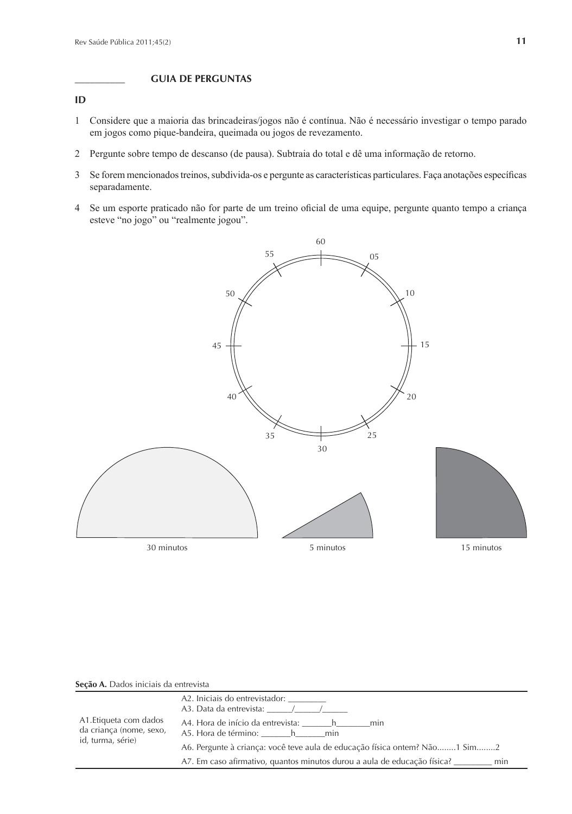## **\_\_\_\_\_\_\_\_\_\_ GUIA DE PERGUNTAS**

- **ID**
- 1 Considere que a maioria das brincadeiras/jogos não é contínua. Não é necessário investigar o tempo parado em jogos como pique-bandeira, queimada ou jogos de revezamento.
- 2 Pergunte sobre tempo de descanso (de pausa). Subtraia do total e dê uma informação de retorno.
- 3 Se forem mencionados treinos, subdivida-os e pergunte as características particulares. Faça anotações específicas separadamente.
- 4 Se um esporte praticado não for parte de um treino oficial de uma equipe, pergunte quanto tempo a criança esteve "no jogo" ou "realmente jogou".



|  |  |  |  | Seção A. Dados iniciais da entrevista |  |
|--|--|--|--|---------------------------------------|--|
|--|--|--|--|---------------------------------------|--|

|                                                                       | A2. Iniciais do entrevistador:<br>A3. Data da entrevista: / / /                        |  |  |  |  |
|-----------------------------------------------------------------------|----------------------------------------------------------------------------------------|--|--|--|--|
| A1.Etiqueta com dados<br>da criança (nome, sexo,<br>id, turma, série) | A4. Hora de início da entrevista: h<br>min<br>A5. Hora de término: h min               |  |  |  |  |
|                                                                       | A6. Pergunte à criança: você teve aula de educação física ontem? Não1 Sim2             |  |  |  |  |
|                                                                       | A7. Em caso afirmativo, quantos minutos durou a aula de educação física? _________ min |  |  |  |  |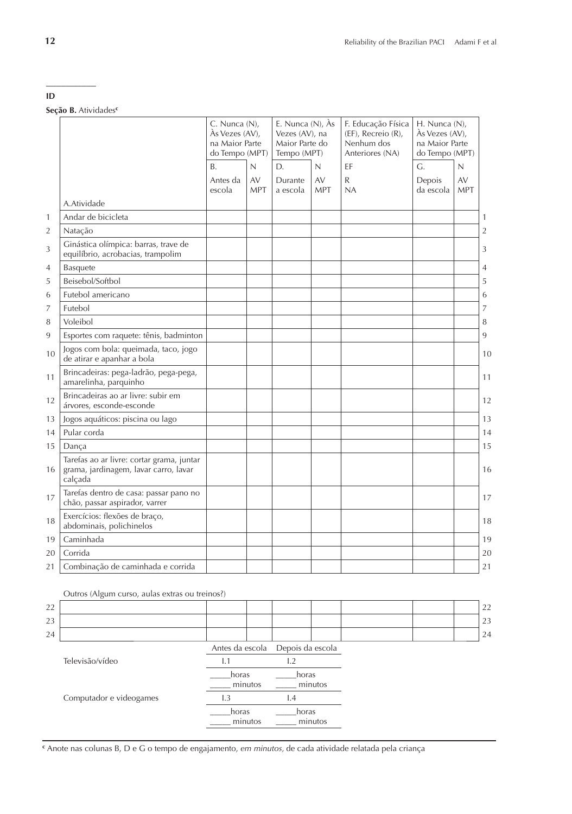#### **ID**

**Seção B.** Atividades**<sup>c</sup>**

**\_\_\_\_\_\_\_\_\_\_**

|                |                                                                                               | C. Nunca (N),<br>Às Vezes (AV).<br>na Maior Parte<br>do Tempo (MPT) |                  | E. Nunca $(N)$ , $\hat{A}s$<br>Vezes (AV), na<br>Maior Parte do<br>Tempo (MPT) |                  | F. Educação Física<br>(EF), Recreio (R),<br>Nenhum dos<br>Anteriores (NA) | H. Nunca (N),<br>Às Vezes (AV),<br>na Maior Parte<br>do Tempo (MPT) |                  |
|----------------|-----------------------------------------------------------------------------------------------|---------------------------------------------------------------------|------------------|--------------------------------------------------------------------------------|------------------|---------------------------------------------------------------------------|---------------------------------------------------------------------|------------------|
|                |                                                                                               | <b>B.</b>                                                           | $\mathsf{N}$     | D.                                                                             | N                | FF                                                                        | G.                                                                  | $\mathsf{N}$     |
|                |                                                                                               | Antes da<br>escola                                                  | AV<br><b>MPT</b> | Durante<br>a escola                                                            | AV<br><b>MPT</b> | R<br>NA                                                                   | Depois<br>da escola                                                 | AV<br><b>MPT</b> |
|                | A.Atividade                                                                                   |                                                                     |                  |                                                                                |                  |                                                                           |                                                                     |                  |
| $\mathbf{1}$   | Andar de bicicleta                                                                            |                                                                     |                  |                                                                                |                  |                                                                           |                                                                     |                  |
| $\overline{2}$ | Natação                                                                                       |                                                                     |                  |                                                                                |                  |                                                                           |                                                                     |                  |
| 3              | Ginástica olímpica: barras, trave de<br>equilíbrio, acrobacias, trampolim                     |                                                                     |                  |                                                                                |                  |                                                                           |                                                                     |                  |
| 4              | Basquete                                                                                      |                                                                     |                  |                                                                                |                  |                                                                           |                                                                     |                  |
| 5              | Beisebol/Softbol                                                                              |                                                                     |                  |                                                                                |                  |                                                                           |                                                                     |                  |
| 6              | Futebol americano                                                                             |                                                                     |                  |                                                                                |                  |                                                                           |                                                                     |                  |
| 7              | Futebol                                                                                       |                                                                     |                  |                                                                                |                  |                                                                           |                                                                     |                  |
| 8              | Voleibol                                                                                      |                                                                     |                  |                                                                                |                  |                                                                           |                                                                     |                  |
| 9              | Esportes com raquete: tênis, badminton                                                        |                                                                     |                  |                                                                                |                  |                                                                           |                                                                     |                  |
| 10             | Jogos com bola: queimada, taco, jogo<br>de atirar e apanhar a bola                            |                                                                     |                  |                                                                                |                  |                                                                           |                                                                     |                  |
| 11             | Brincadeiras: pega-ladrão, pega-pega,<br>amarelinha, parquinho                                |                                                                     |                  |                                                                                |                  |                                                                           |                                                                     |                  |
| 12             | Brincadeiras ao ar livre: subir em<br>árvores, esconde-esconde                                |                                                                     |                  |                                                                                |                  |                                                                           |                                                                     |                  |
| 13             | Jogos aquáticos: piscina ou lago                                                              |                                                                     |                  |                                                                                |                  |                                                                           |                                                                     |                  |
| 14             | Pular corda                                                                                   |                                                                     |                  |                                                                                |                  |                                                                           |                                                                     |                  |
| 15             | Dança                                                                                         |                                                                     |                  |                                                                                |                  |                                                                           |                                                                     |                  |
| 16             | Tarefas ao ar livre: cortar grama, juntar<br>grama, jardinagem, lavar carro, lavar<br>calcada |                                                                     |                  |                                                                                |                  |                                                                           |                                                                     |                  |
| 17             | Tarefas dentro de casa: passar pano no<br>chão, passar aspirador, varrer                      |                                                                     |                  |                                                                                |                  |                                                                           |                                                                     |                  |
| 18             | Exercícios: flexões de braço,<br>abdominais, polichinelos                                     |                                                                     |                  |                                                                                |                  |                                                                           |                                                                     |                  |
| 19             | Caminhada                                                                                     |                                                                     |                  |                                                                                |                  |                                                                           |                                                                     |                  |
| 20             | Corrida                                                                                       |                                                                     |                  |                                                                                |                  |                                                                           |                                                                     |                  |
| 21             | Combinação de caminhada e corrida                                                             |                                                                     |                  |                                                                                |                  |                                                                           |                                                                     |                  |

| Outros (Algum curso, aulas extras ou treinos?) |  |  |
|------------------------------------------------|--|--|
|------------------------------------------------|--|--|

| 22 |                         |       |         |                                  |         |  | 22 |
|----|-------------------------|-------|---------|----------------------------------|---------|--|----|
| 23 |                         |       |         |                                  |         |  | 23 |
| 24 |                         |       |         |                                  |         |  | 24 |
|    |                         |       |         | Antes da escola Depois da escola |         |  |    |
|    | Televisão/vídeo         | 1.1   |         | 1.2                              |         |  |    |
|    |                         | horas | minutos | horas                            | minutos |  |    |
|    | Computador e videogames | 1.3   |         | 1.4                              |         |  |    |
|    |                         | horas | minutos | horas                            | minutos |  |    |

**c** Anote nas colunas B, D e G o tempo de engajamento, *em minutos,* de cada atividade relatada pela criança